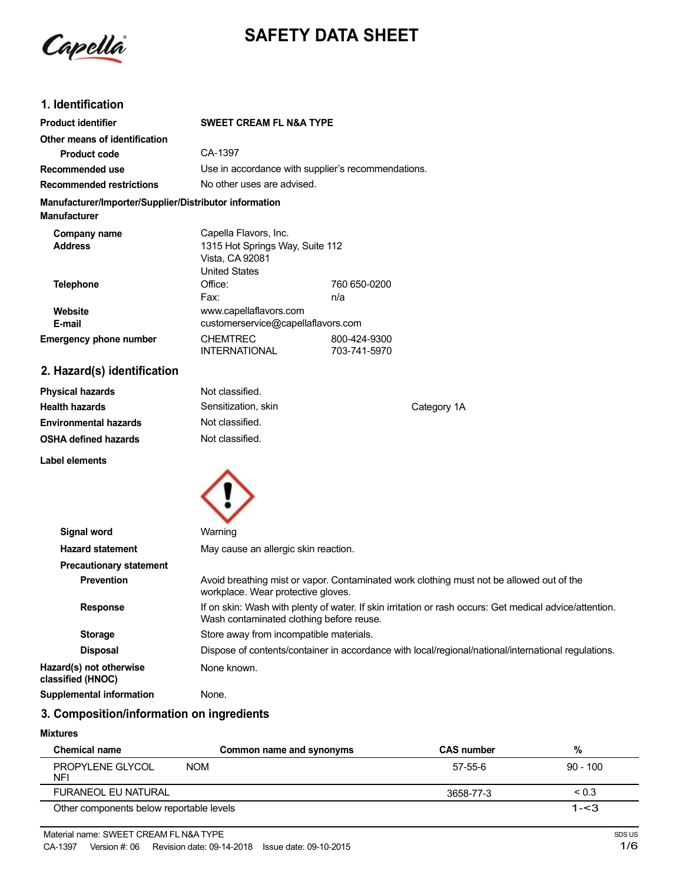Capella

# **SAFETY DATA SHEET**

# **1. Identification**

| <b>Product identifier</b>                                                     | <b>SWEET CREAM FL N&amp;A TYPE</b>                                                                  |                              |
|-------------------------------------------------------------------------------|-----------------------------------------------------------------------------------------------------|------------------------------|
| Other means of identification                                                 |                                                                                                     |                              |
| <b>Product code</b>                                                           | CA-1397                                                                                             |                              |
| Recommended use                                                               | Use in accordance with supplier's recommendations.                                                  |                              |
| <b>Recommended restrictions</b>                                               | No other uses are advised.                                                                          |                              |
| Manufacturer/Importer/Supplier/Distributor information<br><b>Manufacturer</b> |                                                                                                     |                              |
| Company name<br><b>Address</b>                                                | Capella Flavors, Inc.<br>1315 Hot Springs Way, Suite 112<br>Vista, CA 92081<br><b>United States</b> |                              |
| <b>Telephone</b>                                                              | Office:<br>Fax:                                                                                     | 760 650-0200<br>n/a          |
| Website<br>E-mail                                                             | www.capellaflavors.com<br>customerservice@capellaflavors.com                                        |                              |
| <b>Emergency phone number</b>                                                 | <b>CHEMTREC</b><br><b>INTERNATIONAL</b>                                                             | 800-424-9300<br>703-741-5970 |
| 2. Hazard(s) identification                                                   |                                                                                                     |                              |

| <b>Physical hazards</b>      | Not classified.     |             |
|------------------------------|---------------------|-------------|
| <b>Health hazards</b>        | Sensitization, skin | Category 1A |
| <b>Environmental hazards</b> | Not classified.     |             |
| <b>OSHA defined hazards</b>  | Not classified.     |             |
| Label elements               |                     |             |



| Signal word                                  | Warning                                                                                                                                             |  |  |
|----------------------------------------------|-----------------------------------------------------------------------------------------------------------------------------------------------------|--|--|
| <b>Hazard statement</b>                      | May cause an allergic skin reaction.                                                                                                                |  |  |
| <b>Precautionary statement</b>               |                                                                                                                                                     |  |  |
| <b>Prevention</b>                            | Avoid breathing mist or vapor. Contaminated work clothing must not be allowed out of the<br>workplace. Wear protective gloves.                      |  |  |
| <b>Response</b>                              | If on skin: Wash with plenty of water. If skin irritation or rash occurs: Get medical advice/attention.<br>Wash contaminated clothing before reuse. |  |  |
| <b>Storage</b>                               | Store away from incompatible materials.                                                                                                             |  |  |
| <b>Disposal</b>                              | Dispose of contents/container in accordance with local/regional/national/international regulations.                                                 |  |  |
| Hazard(s) not otherwise<br>classified (HNOC) | None known.                                                                                                                                         |  |  |
| Supplemental information                     | None.                                                                                                                                               |  |  |

# **3. Composition/information on ingredients**

#### **Mixtures**

| <b>Chemical name</b>                     | Common name and synonyms | <b>CAS number</b> | %          |
|------------------------------------------|--------------------------|-------------------|------------|
| PROPYLENE GLYCOL<br><b>NFI</b>           | <b>NOM</b>               | 57-55-6           | $90 - 100$ |
| <b>FURANEOL EU NATURAL</b>               |                          | 3658-77-3         | < 0.3      |
| Other components below reportable levels |                          |                   | $1 - < 3$  |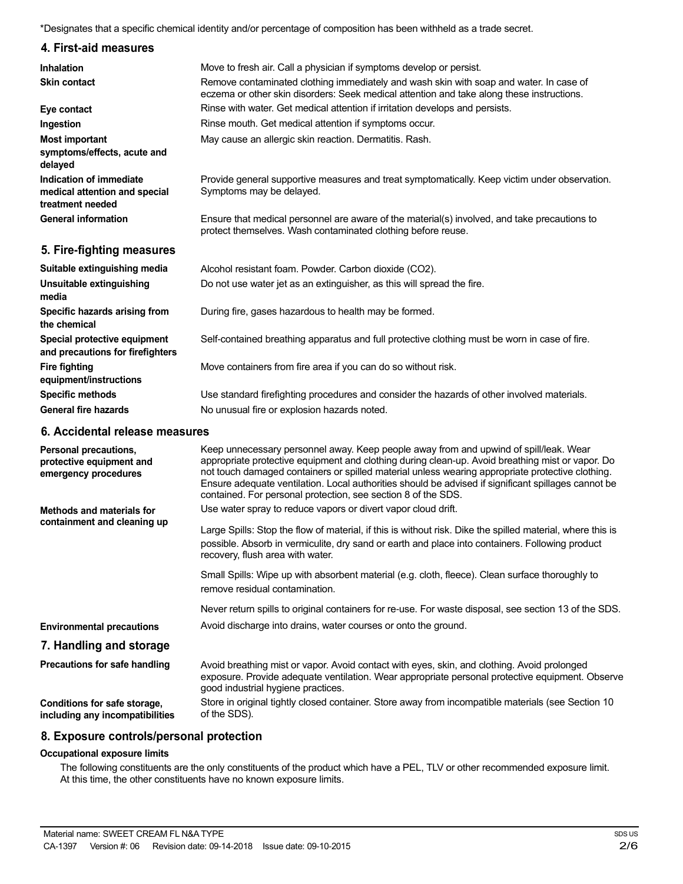\*Designates that a specific chemical identity and/or percentage of composition has been withheld as a trade secret.

## **4. First-aid measures**

| <b>Inhalation</b>                                                            | Move to fresh air. Call a physician if symptoms develop or persist.                                                                                                                 |  |
|------------------------------------------------------------------------------|-------------------------------------------------------------------------------------------------------------------------------------------------------------------------------------|--|
| <b>Skin contact</b>                                                          | Remove contaminated clothing immediately and wash skin with soap and water. In case of<br>eczema or other skin disorders: Seek medical attention and take along these instructions. |  |
| Eye contact                                                                  | Rinse with water. Get medical attention if irritation develops and persists.                                                                                                        |  |
| Ingestion                                                                    | Rinse mouth. Get medical attention if symptoms occur.                                                                                                                               |  |
| <b>Most important</b>                                                        | May cause an allergic skin reaction. Dermatitis. Rash.                                                                                                                              |  |
| symptoms/effects, acute and<br>delayed                                       |                                                                                                                                                                                     |  |
| Indication of immediate<br>medical attention and special<br>treatment needed | Provide general supportive measures and treat symptomatically. Keep victim under observation.<br>Symptoms may be delayed.                                                           |  |
| <b>General information</b>                                                   | Ensure that medical personnel are aware of the material(s) involved, and take precautions to<br>protect themselves. Wash contaminated clothing before reuse.                        |  |
| 5. Fire-fighting measures                                                    |                                                                                                                                                                                     |  |
| Suitable extinguishing media                                                 | Alcohol resistant foam. Powder. Carbon dioxide (CO2).                                                                                                                               |  |
| Unsuitable extinguishing<br>media                                            | Do not use water jet as an extinguisher, as this will spread the fire.                                                                                                              |  |
| Specific hazards arising from<br>the chemical                                | During fire, gases hazardous to health may be formed.                                                                                                                               |  |
| Special protective equipment<br>and precautions for firefighters             | Self-contained breathing apparatus and full protective clothing must be worn in case of fire.                                                                                       |  |

Move containers from fire area if you can do so without risk.

Use standard firefighting procedures and consider the hazards of other involved materials. No unusual fire or explosion hazards noted.

#### **6. Accidental release measures**

**Fire fighting**

**equipment/instructions Specific methods General fire hazards**

| Personal precautions,<br>protective equipment and<br>emergency procedures | Keep unnecessary personnel away. Keep people away from and upwind of spill/leak. Wear<br>appropriate protective equipment and clothing during clean-up. Avoid breathing mist or vapor. Do<br>not touch damaged containers or spilled material unless wearing appropriate protective clothing.<br>Ensure adequate ventilation. Local authorities should be advised if significant spillages cannot be<br>contained. For personal protection, see section 8 of the SDS. |
|---------------------------------------------------------------------------|-----------------------------------------------------------------------------------------------------------------------------------------------------------------------------------------------------------------------------------------------------------------------------------------------------------------------------------------------------------------------------------------------------------------------------------------------------------------------|
| Methods and materials for<br>containment and cleaning up                  | Use water spray to reduce vapors or divert vapor cloud drift.                                                                                                                                                                                                                                                                                                                                                                                                         |
|                                                                           | Large Spills: Stop the flow of material, if this is without risk. Dike the spilled material, where this is<br>possible. Absorb in vermiculite, dry sand or earth and place into containers. Following product<br>recovery, flush area with water.                                                                                                                                                                                                                     |
|                                                                           | Small Spills: Wipe up with absorbent material (e.g. cloth, fleece). Clean surface thoroughly to<br>remove residual contamination.                                                                                                                                                                                                                                                                                                                                     |
|                                                                           | Never return spills to original containers for re-use. For waste disposal, see section 13 of the SDS.                                                                                                                                                                                                                                                                                                                                                                 |
| <b>Environmental precautions</b>                                          | Avoid discharge into drains, water courses or onto the ground.                                                                                                                                                                                                                                                                                                                                                                                                        |
| 7. Handling and storage                                                   |                                                                                                                                                                                                                                                                                                                                                                                                                                                                       |
| Precautions for safe handling                                             | Avoid breathing mist or vapor. Avoid contact with eyes, skin, and clothing. Avoid prolonged<br>exposure. Provide adequate ventilation. Wear appropriate personal protective equipment. Observe<br>good industrial hygiene practices.                                                                                                                                                                                                                                  |
| Conditions for safe storage,<br>including any incompatibilities           | Store in original tightly closed container. Store away from incompatible materials (see Section 10<br>of the SDS).                                                                                                                                                                                                                                                                                                                                                    |

#### **8. Exposure controls/personal protection**

#### **Occupational exposure limits**

The following constituents are the only constituents of the product which have a PEL, TLV or other recommended exposure limit. At this time, the other constituents have no known exposure limits.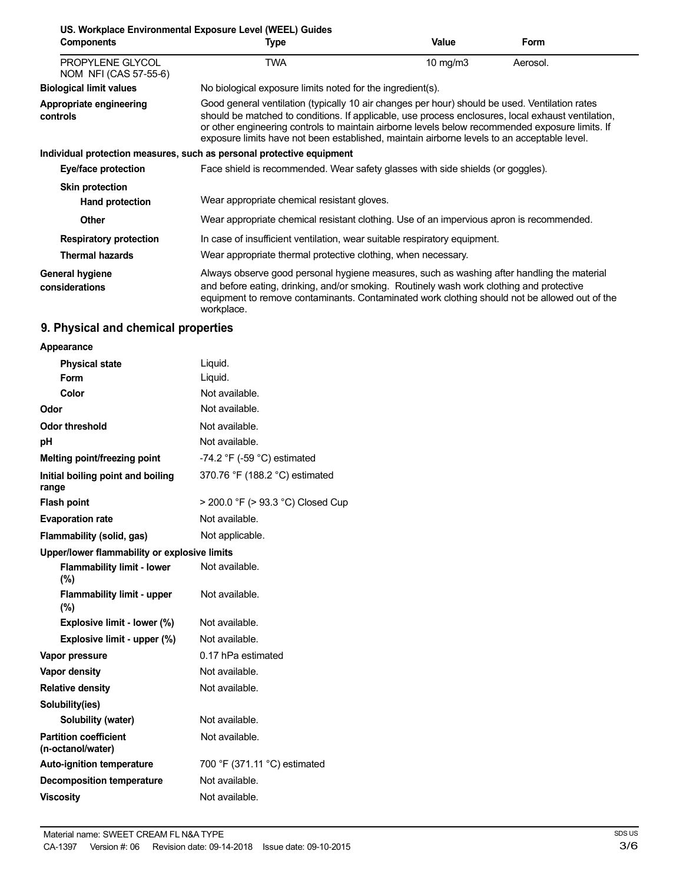|                                           | US. Workplace Environmental Exposure Level (WEEL) Guides                                                                                                                                                                                                                                                                                                                                               |              |             |
|-------------------------------------------|--------------------------------------------------------------------------------------------------------------------------------------------------------------------------------------------------------------------------------------------------------------------------------------------------------------------------------------------------------------------------------------------------------|--------------|-------------|
| <b>Components</b>                         | Type                                                                                                                                                                                                                                                                                                                                                                                                   | <b>Value</b> | <b>Form</b> |
| PROPYLENE GLYCOL<br>NOM NFI (CAS 57-55-6) | TWA                                                                                                                                                                                                                                                                                                                                                                                                    | 10 $mg/m3$   | Aerosol.    |
| <b>Biological limit values</b>            | No biological exposure limits noted for the ingredient(s).                                                                                                                                                                                                                                                                                                                                             |              |             |
| Appropriate engineering<br>controls       | Good general ventilation (typically 10 air changes per hour) should be used. Ventilation rates<br>should be matched to conditions. If applicable, use process enclosures, local exhaust ventilation,<br>or other engineering controls to maintain airborne levels below recommended exposure limits. If<br>exposure limits have not been established, maintain airborne levels to an acceptable level. |              |             |
|                                           | Individual protection measures, such as personal protective equipment                                                                                                                                                                                                                                                                                                                                  |              |             |
| Eye/face protection                       | Face shield is recommended. Wear safety glasses with side shields (or goggles).                                                                                                                                                                                                                                                                                                                        |              |             |
| <b>Skin protection</b>                    |                                                                                                                                                                                                                                                                                                                                                                                                        |              |             |
| Hand protection                           | Wear appropriate chemical resistant gloves.                                                                                                                                                                                                                                                                                                                                                            |              |             |
| <b>Other</b>                              | Wear appropriate chemical resistant clothing. Use of an impervious apron is recommended.                                                                                                                                                                                                                                                                                                               |              |             |
| <b>Respiratory protection</b>             | In case of insufficient ventilation, wear suitable respiratory equipment.                                                                                                                                                                                                                                                                                                                              |              |             |
| <b>Thermal hazards</b>                    | Wear appropriate thermal protective clothing, when necessary.                                                                                                                                                                                                                                                                                                                                          |              |             |
| General hygiene<br>considerations         | Always observe good personal hygiene measures, such as washing after handling the material<br>and before eating, drinking, and/or smoking. Routinely wash work clothing and protective<br>equipment to remove contaminants. Contaminated work clothing should not be allowed out of the<br>workplace.                                                                                                  |              |             |

# **9. Physical and chemical properties**

| Appearance                                        |                                   |
|---------------------------------------------------|-----------------------------------|
| <b>Physical state</b>                             | Liquid.                           |
| Form                                              | Liquid.                           |
| Color                                             | Not available.                    |
| Odor                                              | Not available.                    |
| <b>Odor threshold</b>                             | Not available.                    |
| рH                                                | Not available.                    |
| Melting point/freezing point                      | -74.2 °F (-59 °C) estimated       |
| Initial boiling point and boiling<br>range        | 370.76 °F (188.2 °C) estimated    |
| <b>Flash point</b>                                | > 200.0 °F (> 93.3 °C) Closed Cup |
| <b>Evaporation rate</b>                           | Not available.                    |
| Flammability (solid, gas)                         | Not applicable.                   |
| Upper/lower flammability or explosive limits      |                                   |
| <b>Flammability limit - lower</b><br>$(\%)$       | Not available.                    |
| <b>Flammability limit - upper</b><br>$(\%)$       | Not available.                    |
| Explosive limit - lower (%)                       | Not available.                    |
| Explosive limit - upper (%)                       | Not available.                    |
| Vapor pressure                                    | 0.17 hPa estimated                |
| Vapor density                                     | Not available.                    |
| <b>Relative density</b>                           | Not available.                    |
| Solubility(ies)                                   |                                   |
| Solubility (water)                                | Not available.                    |
| <b>Partition coefficient</b><br>(n-octanol/water) | Not available.                    |
| <b>Auto-ignition temperature</b>                  | 700 °F (371.11 °C) estimated      |
| <b>Decomposition temperature</b>                  | Not available.                    |
| <b>Viscosity</b>                                  | Not available.                    |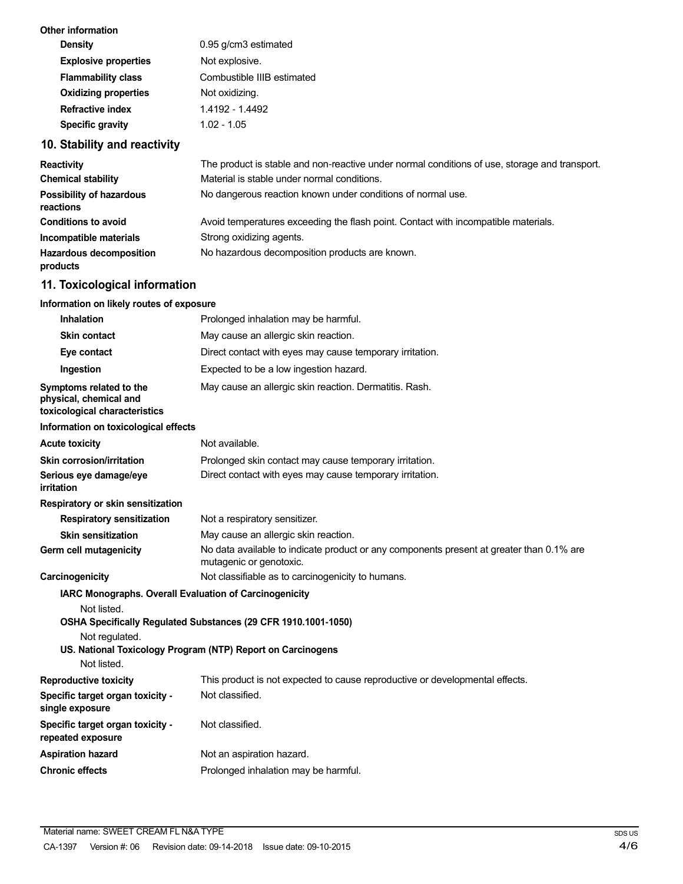| Other information           |                            |
|-----------------------------|----------------------------|
| <b>Density</b>              | 0.95 g/cm3 estimated       |
| <b>Explosive properties</b> | Not explosive.             |
| <b>Flammability class</b>   | Combustible IIIB estimated |
| <b>Oxidizing properties</b> | Not oxidizing.             |
| Refractive index            | 1.4192 - 1.4492            |
| <b>Specific gravity</b>     | $1.02 - 1.05$              |
|                             |                            |

# **10. Stability and reactivity**

| <b>Reactivity</b>                            | The product is stable and non-reactive under normal conditions of use, storage and transport. |
|----------------------------------------------|-----------------------------------------------------------------------------------------------|
| <b>Chemical stability</b>                    | Material is stable under normal conditions.                                                   |
| <b>Possibility of hazardous</b><br>reactions | No dangerous reaction known under conditions of normal use.                                   |
| <b>Conditions to avoid</b>                   | Avoid temperatures exceeding the flash point. Contact with incompatible materials.            |
| Incompatible materials                       | Strong oxidizing agents.                                                                      |
| <b>Hazardous decomposition</b><br>products   | No hazardous decomposition products are known.                                                |

# **11. Toxicological information**

## **Information on likely routes of exposure**

| <b>Inhalation</b>                                                                  | Prolonged inhalation may be harmful.                                                                                |  |  |
|------------------------------------------------------------------------------------|---------------------------------------------------------------------------------------------------------------------|--|--|
| <b>Skin contact</b>                                                                | May cause an allergic skin reaction.                                                                                |  |  |
| Eye contact                                                                        | Direct contact with eyes may cause temporary irritation.                                                            |  |  |
| Ingestion                                                                          | Expected to be a low ingestion hazard.                                                                              |  |  |
| Symptoms related to the<br>physical, chemical and<br>toxicological characteristics | May cause an allergic skin reaction. Dermatitis. Rash.                                                              |  |  |
| Information on toxicological effects                                               |                                                                                                                     |  |  |
| <b>Acute toxicity</b>                                                              | Not available.                                                                                                      |  |  |
| Skin corrosion/irritation                                                          | Prolonged skin contact may cause temporary irritation.                                                              |  |  |
| Serious eye damage/eye<br>irritation                                               | Direct contact with eyes may cause temporary irritation.                                                            |  |  |
| Respiratory or skin sensitization                                                  |                                                                                                                     |  |  |
| <b>Respiratory sensitization</b>                                                   | Not a respiratory sensitizer.                                                                                       |  |  |
| <b>Skin sensitization</b>                                                          | May cause an allergic skin reaction.                                                                                |  |  |
| Germ cell mutagenicity                                                             | No data available to indicate product or any components present at greater than 0.1% are<br>mutagenic or genotoxic. |  |  |
| Carcinogenicity                                                                    | Not classifiable as to carcinogenicity to humans.                                                                   |  |  |
| IARC Monographs. Overall Evaluation of Carcinogenicity                             |                                                                                                                     |  |  |
| Not listed.                                                                        |                                                                                                                     |  |  |
|                                                                                    | OSHA Specifically Regulated Substances (29 CFR 1910.1001-1050)                                                      |  |  |
| Not regulated.                                                                     | US. National Toxicology Program (NTP) Report on Carcinogens                                                         |  |  |
| Not listed.                                                                        |                                                                                                                     |  |  |
| <b>Reproductive toxicity</b>                                                       | This product is not expected to cause reproductive or developmental effects.                                        |  |  |
| Specific target organ toxicity -<br>single exposure                                | Not classified.                                                                                                     |  |  |
| Specific target organ toxicity -<br>repeated exposure                              | Not classified.                                                                                                     |  |  |
| <b>Aspiration hazard</b>                                                           | Not an aspiration hazard.                                                                                           |  |  |
| <b>Chronic effects</b>                                                             | Prolonged inhalation may be harmful.                                                                                |  |  |
|                                                                                    |                                                                                                                     |  |  |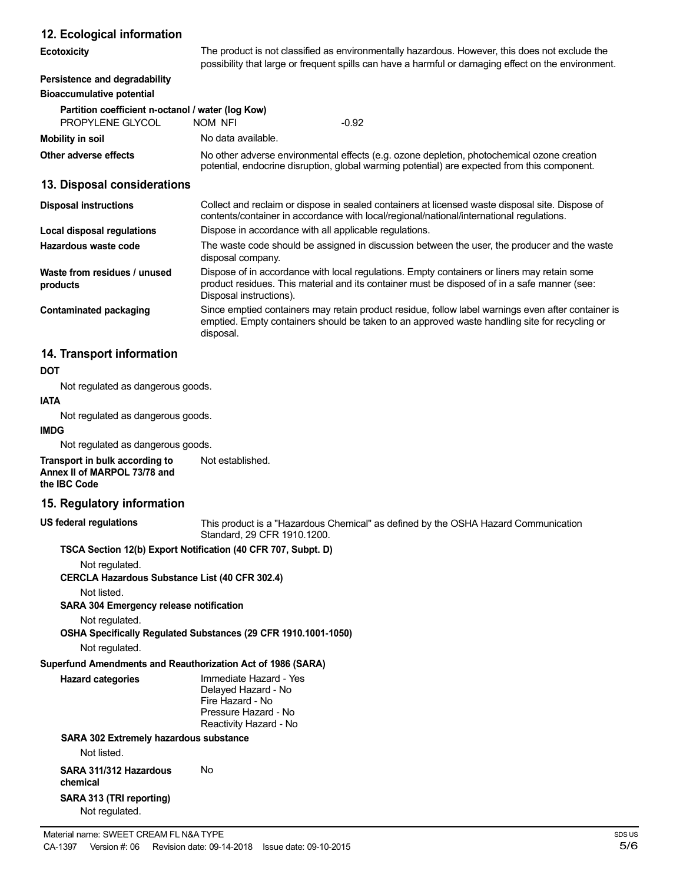## **12. Ecological information**

| $12.$ Leonogical information                                          |                                                                                                                                                                                                     |                                                                                                                                                                                                                        |  |
|-----------------------------------------------------------------------|-----------------------------------------------------------------------------------------------------------------------------------------------------------------------------------------------------|------------------------------------------------------------------------------------------------------------------------------------------------------------------------------------------------------------------------|--|
| <b>Ecotoxicity</b>                                                    |                                                                                                                                                                                                     | The product is not classified as environmentally hazardous. However, this does not exclude the<br>possibility that large or frequent spills can have a harmful or damaging effect on the environment.                  |  |
| Persistence and degradability<br><b>Bioaccumulative potential</b>     |                                                                                                                                                                                                     |                                                                                                                                                                                                                        |  |
| Partition coefficient n-octanol / water (log Kow)<br>PROPYLENE GLYCOL | NOM NFI                                                                                                                                                                                             | $-0.92$                                                                                                                                                                                                                |  |
| Mobility in soil                                                      | No data available.                                                                                                                                                                                  |                                                                                                                                                                                                                        |  |
| Other adverse effects                                                 |                                                                                                                                                                                                     | No other adverse environmental effects (e.g. ozone depletion, photochemical ozone creation<br>potential, endocrine disruption, global warming potential) are expected from this component.                             |  |
| 13. Disposal considerations                                           |                                                                                                                                                                                                     |                                                                                                                                                                                                                        |  |
| <b>Disposal instructions</b>                                          |                                                                                                                                                                                                     | Collect and reclaim or dispose in sealed containers at licensed waste disposal site. Dispose of<br>contents/container in accordance with local/regional/national/international regulations.                            |  |
| Local disposal regulations                                            |                                                                                                                                                                                                     | Dispose in accordance with all applicable regulations.                                                                                                                                                                 |  |
| Hazardous waste code                                                  | disposal company.                                                                                                                                                                                   | The waste code should be assigned in discussion between the user, the producer and the waste                                                                                                                           |  |
| Waste from residues / unused<br>products                              |                                                                                                                                                                                                     | Dispose of in accordance with local regulations. Empty containers or liners may retain some<br>product residues. This material and its container must be disposed of in a safe manner (see:<br>Disposal instructions). |  |
| <b>Contaminated packaging</b>                                         | Since emptied containers may retain product residue, follow label warnings even after container is<br>emptied. Empty containers should be taken to an approved waste handling site for recycling or |                                                                                                                                                                                                                        |  |

## **14. Transport information**

#### **DOT**

Not regulated as dangerous goods.

# **IATA**

Not regulated as dangerous goods.

## **IMDG**

Not regulated as dangerous goods.

**Transport in bulk according to Annex II of MARPOL 73/78 and the IBC Code** Not established.

#### **15. Regulatory information**

**US federal regulations**

This product is a "Hazardous Chemical" as defined by the OSHA Hazard Communication Standard, 29 CFR 1910.1200.

#### **TSCA Section 12(b) Export Notification (40 CFR 707, Subpt. D)**

disposal.

Not regulated.

**CERCLA Hazardous Substance List (40 CFR 302.4)**

Not listed.

**SARA 304 Emergency release notification**

Not regulated.

**OSHA Specifically Regulated Substances (29 CFR 1910.1001-1050)**

Not regulated.

## **Superfund Amendments and Reauthorization Act of 1986 (SARA)**

**Hazard categories** Immediate Hazard - Yes Delayed Hazard - No Fire Hazard - No Pressure Hazard - No Reactivity Hazard - No

## **SARA 302 Extremely hazardous substance**

Not listed.

**SARA 311/312 Hazardous chemical SARA 313 (TRI reporting)** No

Not regulated.